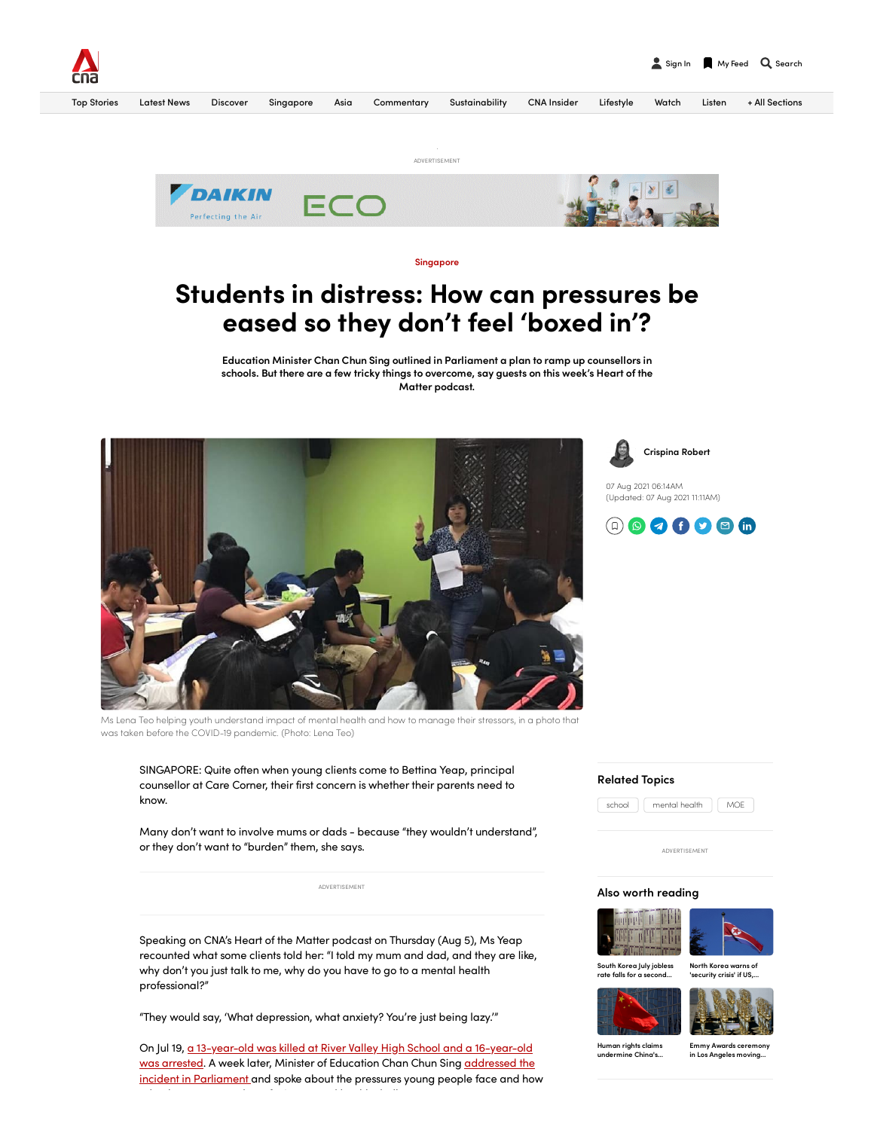



# Students in distress: How can pressures be eased so they don't feel 'boxed in'?

Education Minister Chan Chun Sing outlined in Parliament a plan to ramp up counsellors in schools. But there are a few tricky things to overcome, say guests on this week's Heart of the Matter podcast.



ECO

Perfecting the Air

Ms Lena Teo helping youth understand impact of mental health and how to manage their stressors, in a photo that was taken before the COVID-19 pandemic. (Photo: Lena Teo)

SINGAPORE: Quite often when young clients come to Bettina Yeap, principal counsellor at Care Corner, their first concern is whether their parents need to know.

Many don't want to involve mums or dads - because "they wouldn't understand", or they don't want to "burden" them, she says.

ADVERTISEMENT

Speaking on CNA's Heart of the Matter podcast on Thursday (Aug 5), Ms Yeap recounted what some clients told her: "I told my mum and dad, and they are like, why don't you just talk to me, why do you have to go to a mental health professional?"

"They would say, 'What depression, what anxiety? You're just being lazy.'"

On Jul 19, a 13-year-old was killed at River Valley High School and a [16-year-old](https://www.channelnewsasia.com/singapore/river-valley-high-school-student-killed-police-2049621) was arrested. A week later, Minister of Education Chan Chun Sing addressed the incident in [Parliament](https://www.channelnewsasia.com/singapore/river-valley-high-school-death-security-measures-chan-chun-sing-2077831) and spoke about the pressures young people face and how h l h f i l h l h h ll

#### Related Topics

ADVERTISEMENT

## Also worth reading





South Korea July jobless rate falls for a [second…](https://recommend-zoom.mediacorp.sg/click/ddd4eb5a2d8e81db3ec701f7680ff9d22983f703a7d396bebe76b42e62e0bc4aad868ff653c4cdddac98c364b4226d4ec9e0ed98057678bddee1c9cf71fcf3734149458f6947a0b8bd0a9b47c8a40e2376d1e2e479500769adf22b28427ab854cfd3cb036ddf255a89a494cc74d36f793f756f7ea617ad49a14a1f6da68a63f2d70477bcb5a0c18e3966c14e0dda89a42916cb42aecc5dbb9c06dad12bd44a46ed58f2fbec4621e8f3295d74b1a4d1b2bf0ae73d0c19ac5b83ebed8407c1b60a2556171d4a3a7ee96b7a0ce28174466fb1fba77b2e413baac813bd0cce281c7f0f1cd94df3c87d71379678466efac2fa0e3de95b71ad05a5eebb073e54ba993abe9209e3f00270469210ba4591ba1b7e574141fe7b30412bbf16f1c7b22ea7eb5fe885f76c5237e7a7e79a5087c44740ecaae399c423e92346b4287cbff10f63945ab7ce536fd23d3c0b1c51036e147795823e3709a1c80e0081bfebcc1ca35c045ad7209e164ab773e6eae331cd337f641cb907cf73e437f52ab866d37058d1108bb4b5b1a21418de65aac723bcc786b99b6bd12cebad92a54da48e985b4322c067ea8f108c13052844b26c109ada40a1e5f5757102cc76b8c31a949035f01b48717ae8a73ac209552c343fbdb50df75eeb673ae0ddf3c7158f77f8508e717438b257a542272f33c241bb72980707ba599baeedc90575f313461488490a0f5c544851db4532b3ae981b9f7a795aad77be9c20db262dccc5e99743fb9dee2d0e/36af763623e588e24702e2a5257fc4804d96b6afec75df29ee95b7d6a2d6568ae55b356f93b27b637f44a036316aa1ceab0688097378a589aa7e6a85a794caf018eff8a72f49362ca86acbf1e62554b30d66442f146f3d0f88cf5959fc820bcfda52be6f853410af75f3b308c0c24300/south-korea-july-jobless-rate-falls-second-month-2104876)

North Korea warns of ......................<br>security crisis' if US...





Human rights claims [undermine](https://recommend-zoom.mediacorp.sg/click/ddd4eb5a2d8e81db3ec701f7680ff9d21d4a448c7096fcda8f1a086e0b576f7e5d8169dc2a4d799315e8d8709b914fcccaed109ce18499ab54299ee6a2890501687aa578972dff846e5f9ad1f4dcbb0a6a1a6b8e3780143ce85e191428974414376b439ed1cf16f514407facbb813198de522ef25eb8ddb625824dd1ecf8da1792048bfa5e52d3e22e414c3e32631c55572e33526cc87db41f6d989b5a7b64c32a7ea6ae6d3b7c3c2bc45f0ea26de6056569afbd20e5e7d9c5bf54ce8245b6077b317040cd9cb6bebcfda7d4cfa491e3db0c09334dd7f486e5fa547bcfc33f2ff5af4ef99d20ee12bd55327c910498bea98cbcfb9d576856f481f0195e979e0b2e450858d887246a36b165c1eb99a9ea968f3750a85ec069e207f49b4de4835342dc3a250570e7922ab2f66a1651b3c46d17d083a0c81e7100ae6aa507a95a6764d78f4ff2ad3d6ff41a4f8bb1cc26d36740eb68e62845a3a6fed32d5392197841bf7be2e8b101fe7b7bcd58088955f1cc28b23c52d0fcddcf3829e8eaf619ffa7023ab7d17422d899ec39058b73e2d31d809e01669dab4c394c1a0868b6413bf4b48d452aa31e44279d46ec7427058a1313fc46a97311ff2b935a21def3f51b1f576953466dbb2ff2012a9fd28938412e292e8f10fc0ab04e6131b3d7cb763d67f95ed8aa31d86a8f2a0aed2471980ff2b9e8accf93b7209eb45093877a297fc0974af53c2be118f8e66b537a1025e0746df64cc1b739b08ad7777bddd1e6c9/36af763623e588e24702e2a5257fc4804d96b6afec75df29ee95b7d6a2d6568a18df8f062ed84cf760d7559feb7bcd5f8481e1e82d7027e6e86b328be4521f377dbbbc5ac06fd50d05e693ce8b5f2f4849e317103631db3e804f360ac6e7b534ad7ab003bb41fbcffa42c6e027e222f11b016e0a3f2fb3ec0abfd7d6ec964c4c/human-rights-claims-undermine-chinas-investment-abroad-report-finds-2104851) China's…

Emmy Awards [ceremony](https://recommend-zoom.mediacorp.sg/click/ddd4eb5a2d8e81db3ec701f7680ff9d21d4a448c7096fcda8f1a086e0b576f7ed821f29368fcd46debf19ed6ca94deb344795ab464d7d4a9ec8e352ac15ddd1f7ca6fff95a4199e277f101eecf3dd82585d4cb1d72ba024a65767cbc43fac9545089cf85e1980c1f69f09e7cedc701061a9a7b89f67790b1c8569d9bbf3f92830977dfba62121f0f63af7aebd3253f231ffe7c7d4ca2bbd44d0500b8d3f8f36a0a0d58aa1597f3a37f4c9ca40b207d27b671afa99d07be7ba35feb07df9745d70aef191108d54b4693121996e0cbda2e708274ffd573a9053cd0aa00d7522b89a8cf5abe1b92734ae481ad44ebf1ad001e9cf2ada4d54cf4b6b1ca8a4009e5665a0883b5b3d597684f7da372a37ed3497be4dabdd3f300980d4ae873b15d9af1030b5c0c3c758ef1d56b595d46206d8099b0f6303601f8c9da7d8204782303bc116ee13b04796d1963da2aeabcc0939f340c382bca464b683d3fdc1f52a0778b4a3cb45f1daa67f82d0a9383b4c0c5131e2943daddcf0f47c5d4566ba3fceb56ba349508a2ce2c2646c0977b46d39d5373ea1cc76be0e8586a83d50260858518a3bb0ef2d6f851ff485c5c8584033efc215b8ab412ff297b0658c13ff442560de1edca06484e13c146c569f1fd603cd5517e2b41e8ac9a14e2dafc11ba890fcb58a68978017371b343a7c8e5b244ec900a83de7c883766ee92604b2a44811c6c926d775653b8e4f9f36032a07842d7a67fad251a6f397021333627a5672f978d/36af763623e588e24702e2a5257fc4804d96b6afec75df29ee95b7d6a2d6568a8397bbb295726d535775c405db2de3ccfd89055067593ab94dc91476b982d5ab42430d1437c00ef39cf3305f5a31941535268df728621c4cfb64ea896c22be44c13a0ca4288a59c4bd44e2d7228b4564150fcc91b75505dbbc049d4090b1bc67/emmy-awards-ceremony-los-angeles-moving-outdoors-due-covid-19-concerns-2104836) in Los Angeles moving…

07 Aug 2021 06:14AM

[Crispina](https://www.channelnewsasia.com/author/crispina-robert) Robert

(Updated: 07 Aug 2021 11:11AM)

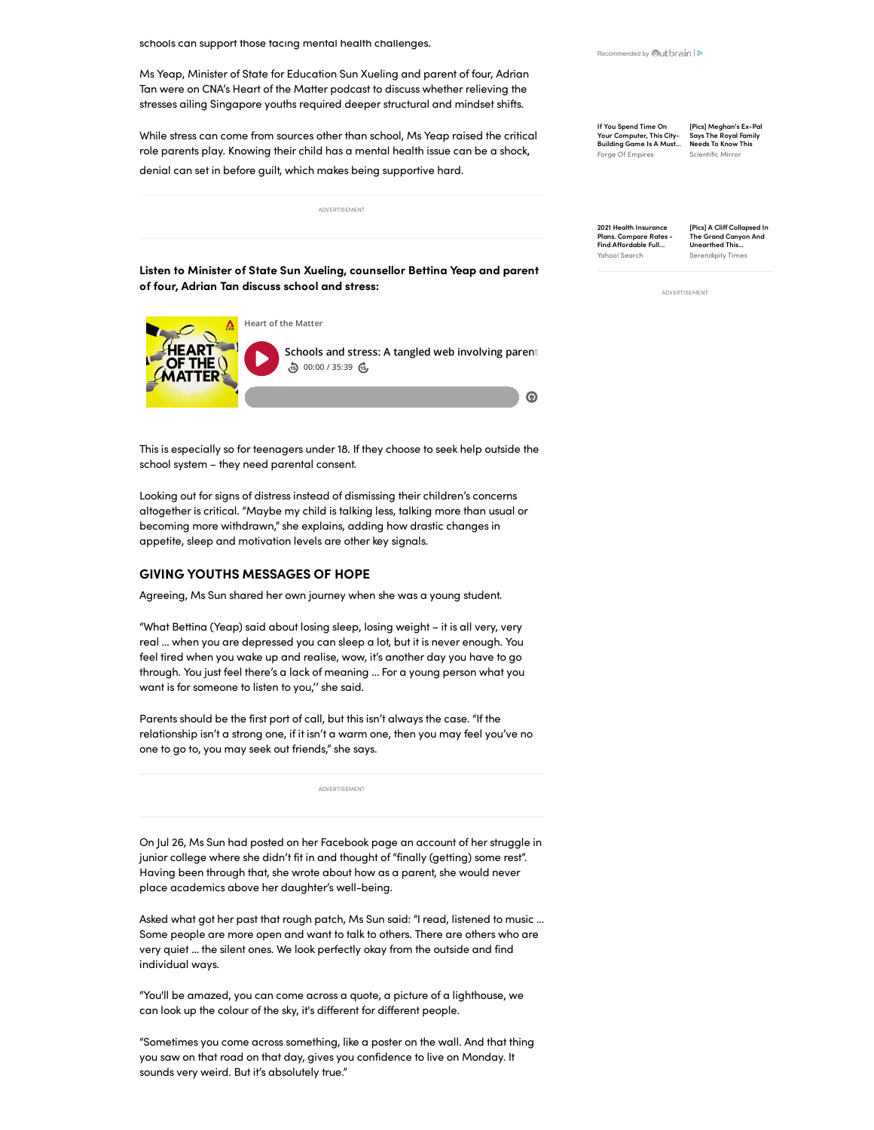schools can support those facing mental health challenges.

Ms Yeap, Minister of State for Education Sun Xueling and parent of four, Adrian Tan were on CNA's Heart of the Matter podcast to discuss whether relieving the stresses ailing Singapore youths required deeper structural and mindset shifts.

While stress can come from sources other than school, Ms Yeap raised the critical role parents play. Knowing their child has a mental health issue can be a shock, denial can set in before guilt, which makes being supportive hard.

ADVERTISEMENT

Listen to Minister of State Sun Xueling, counsellor Bettina Yeap and parent of four, Adrian Tan discuss school and stress:



This is especially so for teenagers under 18. If they choose to seek help outside the school system – they need parental consent.

Looking out for signs of distress instead of dismissing their children's concerns altogether is critical. "Maybe my child is talking less, talking more than usual or becoming more withdrawn," she explains, adding how drastic changes in appetite, sleep and motivation levels are other key signals.

## GIVING YOUTHS MESSAGES OF HOPE

Agreeing, Ms Sun shared her own journey when she was a young student.

"What Bettina (Yeap) said about losing sleep, losing weight – it is all very, very real … when you are depressed you can sleep a lot, but it is never enough. You feel tired when you wake up and realise, wow, it's another day you have to go through. You just feel there's a lack of meaning … For a young person what you want is for someone to listen to you,'' she said.

Parents should be the first port of call, but this isn't always the case. "If the relationship isn't a strong one, if it isn't a warm one, then you may feel you've no one to go to, you may seek out friends," she says.

ADVERTISEMENT

On Jul 26, Ms Sun had posted on her Facebook page an account of her struggle in junior college where she didn't fit in and thought of "finally (getting) some rest". Having been through that, she wrote about how as a parent, she would never place academics above her daughter's well-being.

Asked what got her past that rough patch, Ms Sun said: "I read, listened to music … Some people are more open and want to talk to others. There are others who are very quiet … the silent ones. We look perfectly okay from the outside and find individual ways.

"You'll be amazed, you can come across a quote, a picture of a lighthouse, we can look up the colour of the sky, it's different for different people.

"Sometimes you come across something, like a poster on the wall. And that thing you saw on that road on that day, gives you confidence to live on Monday. It sounds very weird. But it's absolutely true."

[Recommended by](https://www.outbrain.com/what-is/default/en) Outbrain | D

If You Spend Time On Your [Computer,](https://om.forgeofempires.com/foe/us/?ref=out_us_us_brandsafety&pid=$publisher_name$&external_param=$section_name$&bid=00396fcc7bb5bb5775a7fc99017e8878f8&obOrigUrl=true) This City-Building Game Is A Must… Forge Of Empires [Pics] [Meghan's](https://scientificmirror.com/duchess-real-motive?utm_source=Outbrain&utm_medium=CPC&utm_content=$section_id$_$publisher_name$_$section_name$&utm_campaign=SemiAuto_774623_Scientific-Mirror_Rcn-Meghan-Markle-S-Former-Fri_US_DESKTOP_MM&utm_term=00567d0aad623e8c10ded01ddbf2a6fbc1&c=$cpc$&l=a&o=2-1&obOrigUrl=true) Ex-Pal Says The Royal Family Needs To Know This Scientific Mirror

2021 Health Insurance Plans. Compare Rates - Find [Affordable](https://glp.search.yahoo.com/as/7.html?hspart=yahoo&hsimp=yhs-g32&p=buyhealthinsurance&type=buy+health+insurance-mt-0093dbffb469240d9fb68e3db579db7c98-&sroa=80&st=buy+health+insurance&publisher_id=$publisher_name$§ion_name=$section_name$&obOrigUrl=true) Full… Yahoo! Search

[Pics] A Cliff Collapsed In The Grand Canyon And Unearthed This... [Serendipity](https://serendipitytimes.com/grand-canyon-ancient-secret?utm_source=Outbrain&utm_medium=CPC&utm_content=$section_id$_$publisher_name$_$section_name$&utm_campaign=773021_Serendipity-Times_V1-After-A-Cliff-Collapsed-In_US_DESKTOP_MM&utm_term=0063073f927091d3d60f0a85469ed7bd26&c=$cpc$&l=a&o=2-1&obOrigUrl=true) Times

ADVERTISEMENT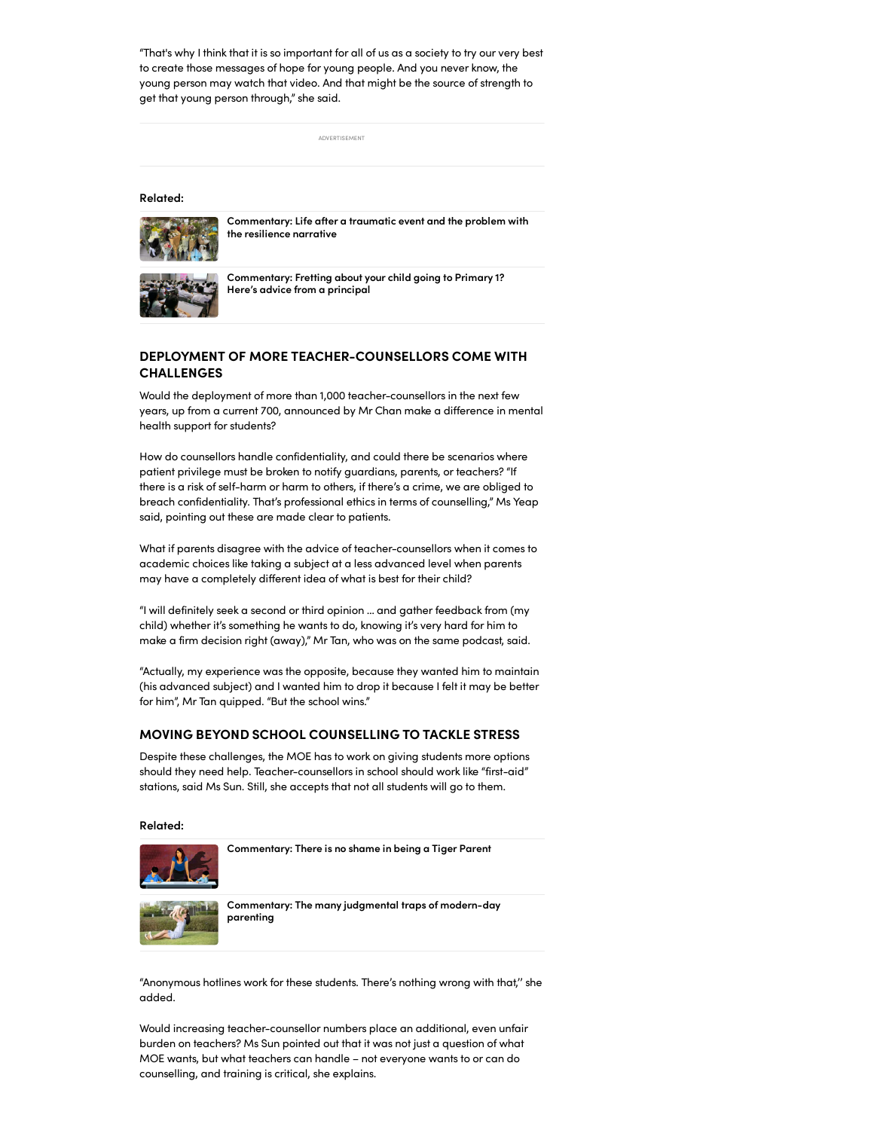"That's why I think that it is so important for all of us as a society to try our very best to create those messages of hope for young people. And you never know, the young person may watch that video. And that might be the source of strength to get that young person through," she said.

ADVERTISEMENT

#### Related:



[Commentary:](https://www.channelnewsasia.com/commentary/commentary-life-after-traumatic-event-and-problem-resilience-narrative-2081976) Life after a traumatic event and the problem with the resilience narrative



[Commentary:](https://www.channelnewsasia.com/commentary/primary-1-registration-getting-ready-academic-social-skills-2080336) Fretting about your child going to Primary 1? Here's advice from a principal

# DEPLOYMENT OF MORE TEACHER-COUNSELLORS COME WITH CHALLENGES

Would the deployment of more than 1,000 teacher-counsellors in the next few years, up from a current 700, announced by Mr Chan make a difference in mental health support for students?

How do counsellors handle confidentiality, and could there be scenarios where patient privilege must be broken to notify guardians, parents, or teachers? "If there is a risk of self-harm or harm to others, if there's a crime, we are obliged to breach confidentiality. That's professional ethics in terms of counselling," Ms Yeap said, pointing out these are made clear to patients.

What if parents disagree with the advice of teacher-counsellors when it comes to academic choices like taking a subject at a less advanced level when parents may have a completely different idea of what is best for their child?

"I will definitely seek a second or third opinion … and gather feedback from (my child) whether it's something he wants to do, knowing it's very hard for him to make a firm decision right (away)," Mr Tan, who was on the same podcast, said.

"Actually, my experience was the opposite, because they wanted him to maintain (his advanced subject) and I wanted him to drop it because I felt it may be better for him", Mr Tan quipped. "But the school wins."

## MOVING BEYOND SCHOOL COUNSELLING TO TACKLE STRESS

Despite these challenges, the MOE has to work on giving students more options should they need help. Teacher-counsellors in school should work like "first-aid" stations, said Ms Sun. Still, she accepts that not all students will go to them.

Related:



[Commentary:](https://www.channelnewsasia.com/commentary/tiger-mum-dad-parenting-singapore-exams-discipline-tests-730846) There is no shame in being a Tiger Parent



[Commentary:](https://www.channelnewsasia.com/commentary/parenting-social-media-judgemental-traps-modern-parent-types-2032891) The many judgmental traps of modern-day parenting

"Anonymous hotlines work for these students. There's nothing wrong with that,'' she added.

Would increasing teacher-counsellor numbers place an additional, even unfair burden on teachers? Ms Sun pointed out that it was not just a question of what MOE wants, but what teachers can handle – not everyone wants to or can do counselling, and training is critical, she explains.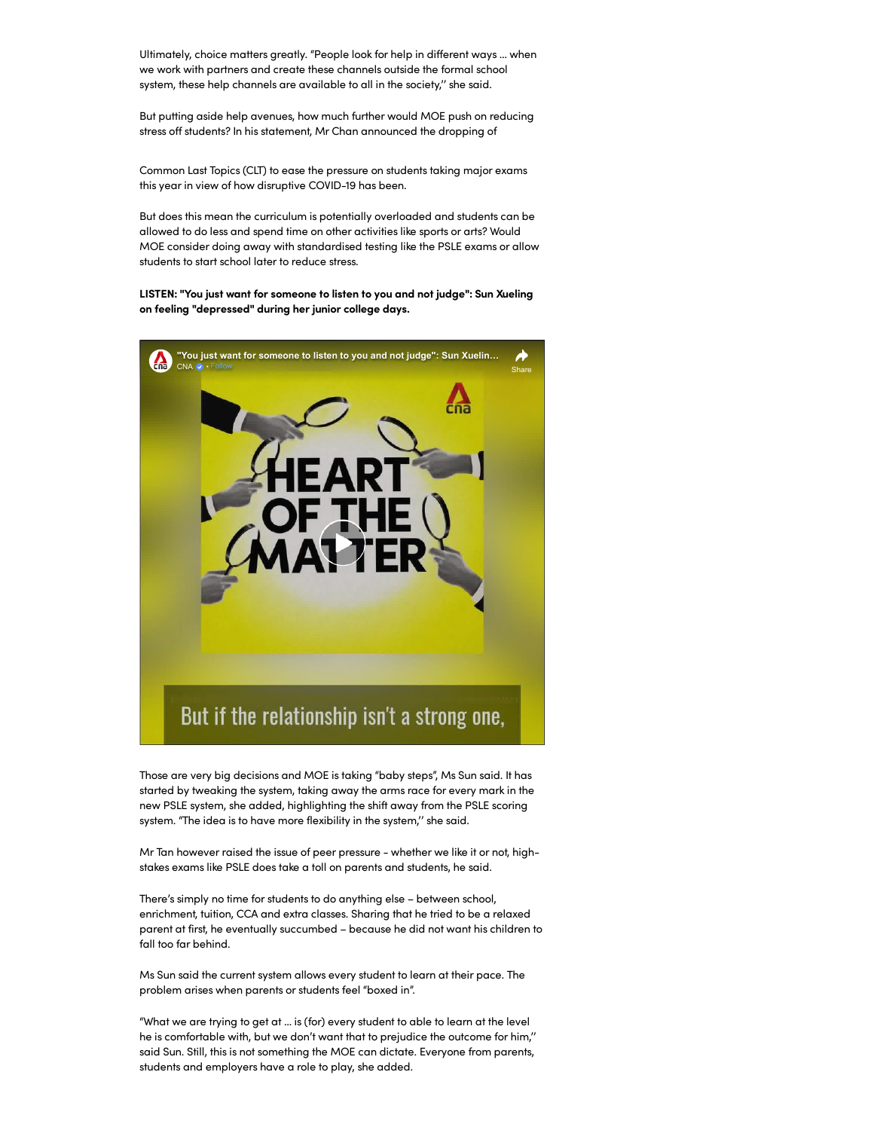Ultimately, choice matters greatly. "People look for help in different ways … when we work with partners and create these channels outside the formal school system, these help channels are available to all in the society,'' she said.

But putting aside help avenues, how much further would MOE push on reducing stress off students? In his statement, Mr Chan announced the dropping of

Common Last Topics (CLT) to ease the pressure on students taking major exams this year in view of how disruptive COVID-19 has been.

But does this mean the curriculum is potentially overloaded and students can be allowed to do less and spend time on other activities like sports or arts? Would MOE consider doing away with standardised testing like the PSLE exams or allow students to start school later to reduce stress.

LISTEN: "You just want for someone to listen to you and not judge": Sun Xueling on feeling "depressed" during her junior college days.



Those are very big decisions and MOE is taking "baby steps", Ms Sun said. It has started by tweaking the system, taking away the arms race for every mark in the new PSLE system, she added, highlighting the shift away from the PSLE scoring system. "The idea is to have more flexibility in the system,'' she said.

Mr Tan however raised the issue of peer pressure - whether we like it or not, highstakes exams like PSLE does take a toll on parents and students, he said.

There's simply no time for students to do anything else – between school, enrichment, tuition, CCA and extra classes. Sharing that he tried to be a relaxed parent at first, he eventually succumbed – because he did not want his children to fall too far behind.

Ms Sun said the current system allows every student to learn at their pace. The problem arises when parents or students feel "boxed in".

"What we are trying to get at … is (for) every student to able to learn at the level he is comfortable with, but we don't want that to prejudice the outcome for him,'' said Sun. Still, this is not something the MOE can dictate. Everyone from parents, students and employers have a role to play, she added.